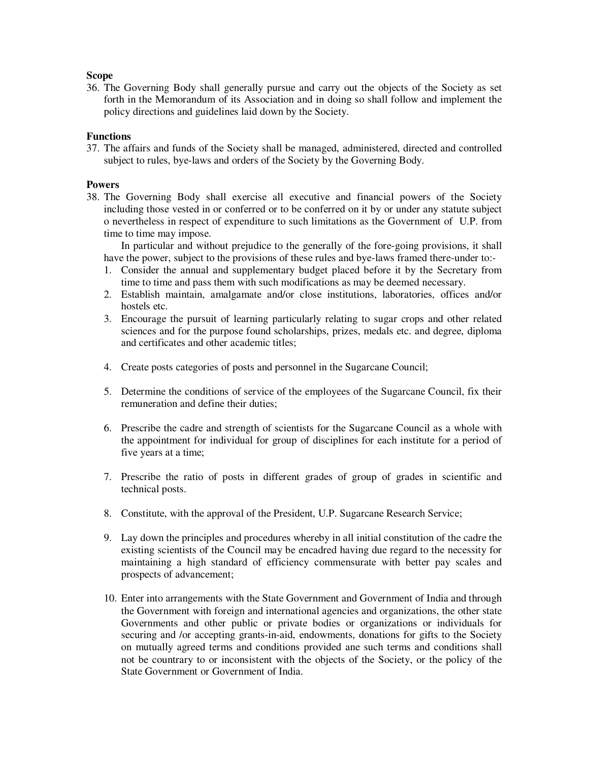## **Scope**

36. The Governing Body shall generally pursue and carry out the objects of the Society as set forth in the Memorandum of its Association and in doing so shall follow and implement the policy directions and guidelines laid down by the Society.

# **Functions**

37. The affairs and funds of the Society shall be managed, administered, directed and controlled subject to rules, bye-laws and orders of the Society by the Governing Body.

# **Powers**

38. The Governing Body shall exercise all executive and financial powers of the Society including those vested in or conferred or to be conferred on it by or under any statute subject o nevertheless in respect of expenditure to such limitations as the Government of U.P. from time to time may impose.

 In particular and without prejudice to the generally of the fore-going provisions, it shall have the power, subject to the provisions of these rules and bye-laws framed there-under to:-

- 1. Consider the annual and supplementary budget placed before it by the Secretary from time to time and pass them with such modifications as may be deemed necessary.
- 2. Establish maintain, amalgamate and/or close institutions, laboratories, offices and/or hostels etc.
- 3. Encourage the pursuit of learning particularly relating to sugar crops and other related sciences and for the purpose found scholarships, prizes, medals etc. and degree, diploma and certificates and other academic titles;
- 4. Create posts categories of posts and personnel in the Sugarcane Council;
- 5. Determine the conditions of service of the employees of the Sugarcane Council, fix their remuneration and define their duties;
- 6. Prescribe the cadre and strength of scientists for the Sugarcane Council as a whole with the appointment for individual for group of disciplines for each institute for a period of five years at a time;
- 7. Prescribe the ratio of posts in different grades of group of grades in scientific and technical posts.
- 8. Constitute, with the approval of the President, U.P. Sugarcane Research Service;
- 9. Lay down the principles and procedures whereby in all initial constitution of the cadre the existing scientists of the Council may be encadred having due regard to the necessity for maintaining a high standard of efficiency commensurate with better pay scales and prospects of advancement;
- 10. Enter into arrangements with the State Government and Government of India and through the Government with foreign and international agencies and organizations, the other state Governments and other public or private bodies or organizations or individuals for securing and /or accepting grants-in-aid, endowments, donations for gifts to the Society on mutually agreed terms and conditions provided ane such terms and conditions shall not be countrary to or inconsistent with the objects of the Society, or the policy of the State Government or Government of India.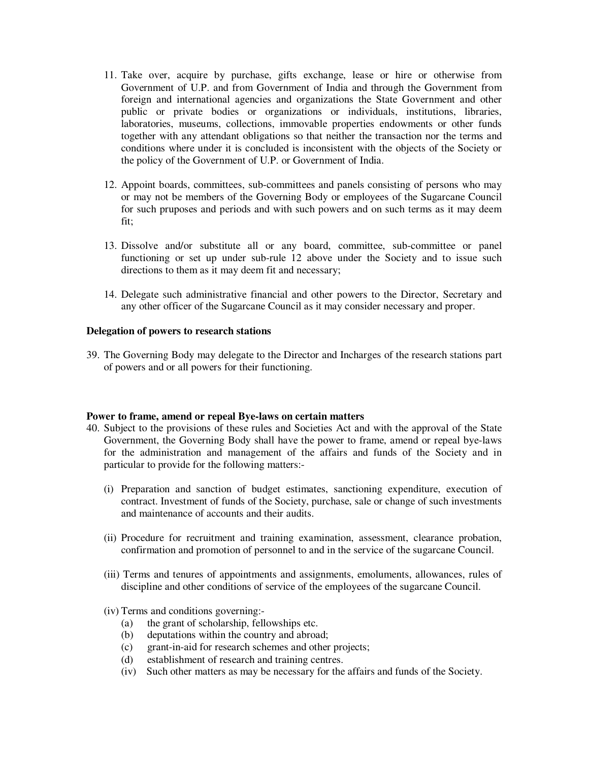- 11. Take over, acquire by purchase, gifts exchange, lease or hire or otherwise from Government of U.P. and from Government of India and through the Government from foreign and international agencies and organizations the State Government and other public or private bodies or organizations or individuals, institutions, libraries, laboratories, museums, collections, immovable properties endowments or other funds together with any attendant obligations so that neither the transaction nor the terms and conditions where under it is concluded is inconsistent with the objects of the Society or the policy of the Government of U.P. or Government of India.
- 12. Appoint boards, committees, sub-committees and panels consisting of persons who may or may not be members of the Governing Body or employees of the Sugarcane Council for such pruposes and periods and with such powers and on such terms as it may deem fit;
- 13. Dissolve and/or substitute all or any board, committee, sub-committee or panel functioning or set up under sub-rule 12 above under the Society and to issue such directions to them as it may deem fit and necessary;
- 14. Delegate such administrative financial and other powers to the Director, Secretary and any other officer of the Sugarcane Council as it may consider necessary and proper.

## **Delegation of powers to research stations**

39. The Governing Body may delegate to the Director and Incharges of the research stations part of powers and or all powers for their functioning.

#### **Power to frame, amend or repeal Bye-laws on certain matters**

- 40. Subject to the provisions of these rules and Societies Act and with the approval of the State Government, the Governing Body shall have the power to frame, amend or repeal bye-laws for the administration and management of the affairs and funds of the Society and in particular to provide for the following matters:-
	- (i) Preparation and sanction of budget estimates, sanctioning expenditure, execution of contract. Investment of funds of the Society, purchase, sale or change of such investments and maintenance of accounts and their audits.
	- (ii) Procedure for recruitment and training examination, assessment, clearance probation, confirmation and promotion of personnel to and in the service of the sugarcane Council.
	- (iii) Terms and tenures of appointments and assignments, emoluments, allowances, rules of discipline and other conditions of service of the employees of the sugarcane Council.
	- (iv) Terms and conditions governing:-
		- (a) the grant of scholarship, fellowships etc.
		- (b) deputations within the country and abroad;
		- (c) grant-in-aid for research schemes and other projects;
		- (d) establishment of research and training centres.
		- (iv) Such other matters as may be necessary for the affairs and funds of the Society.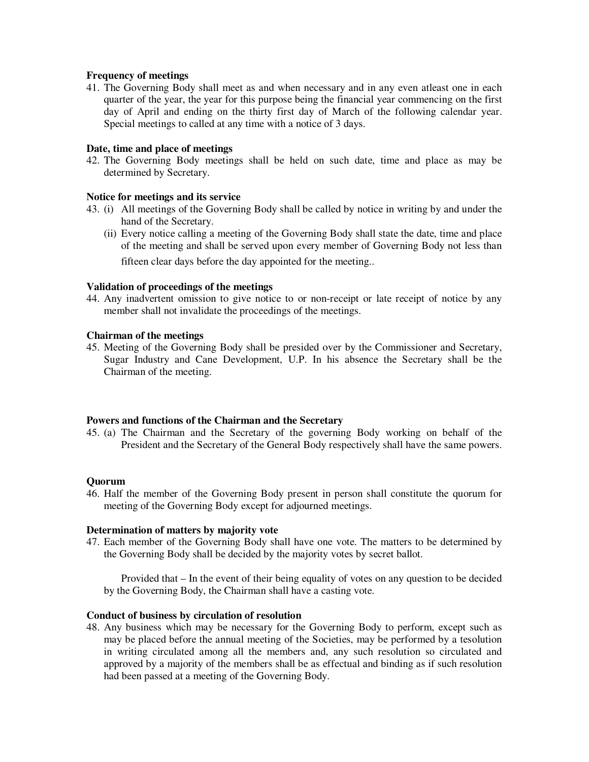## **Frequency of meetings**

41. The Governing Body shall meet as and when necessary and in any even atleast one in each quarter of the year, the year for this purpose being the financial year commencing on the first day of April and ending on the thirty first day of March of the following calendar year. Special meetings to called at any time with a notice of 3 days.

## **Date, time and place of meetings**

42. The Governing Body meetings shall be held on such date, time and place as may be determined by Secretary.

## **Notice for meetings and its service**

- 43. (i) All meetings of the Governing Body shall be called by notice in writing by and under the hand of the Secretary.
	- (ii) Every notice calling a meeting of the Governing Body shall state the date, time and place of the meeting and shall be served upon every member of Governing Body not less than fifteen clear days before the day appointed for the meeting..

## **Validation of proceedings of the meetings**

44. Any inadvertent omission to give notice to or non-receipt or late receipt of notice by any member shall not invalidate the proceedings of the meetings.

#### **Chairman of the meetings**

45. Meeting of the Governing Body shall be presided over by the Commissioner and Secretary, Sugar Industry and Cane Development, U.P. In his absence the Secretary shall be the Chairman of the meeting.

#### **Powers and functions of the Chairman and the Secretary**

45. (a) The Chairman and the Secretary of the governing Body working on behalf of the President and the Secretary of the General Body respectively shall have the same powers.

#### **Quorum**

46. Half the member of the Governing Body present in person shall constitute the quorum for meeting of the Governing Body except for adjourned meetings.

#### **Determination of matters by majority vote**

47. Each member of the Governing Body shall have one vote. The matters to be determined by the Governing Body shall be decided by the majority votes by secret ballot.

 Provided that – In the event of their being equality of votes on any question to be decided by the Governing Body, the Chairman shall have a casting vote.

# **Conduct of business by circulation of resolution**

48. Any business which may be necessary for the Governing Body to perform, except such as may be placed before the annual meeting of the Societies, may be performed by a tesolution in writing circulated among all the members and, any such resolution so circulated and approved by a majority of the members shall be as effectual and binding as if such resolution had been passed at a meeting of the Governing Body.